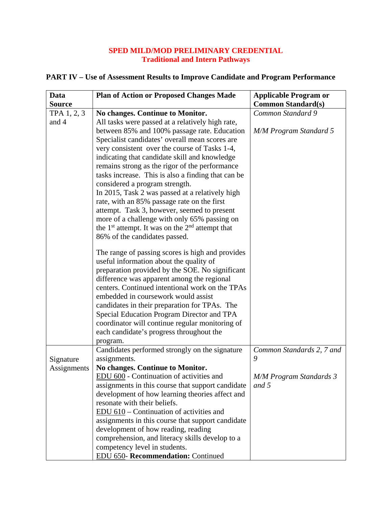## **SPED MILD/MOD PRELIMINARY CREDENTIAL Traditional and Intern Pathways**

| Data          | <b>Plan of Action or Proposed Changes Made</b>      | <b>Applicable Program or</b>   |
|---------------|-----------------------------------------------------|--------------------------------|
| <b>Source</b> |                                                     | <b>Common Standard(s)</b>      |
| TPA 1, 2, 3   | No changes. Continue to Monitor.                    | Common Standard 9              |
| and 4         | All tasks were passed at a relatively high rate,    |                                |
|               | between 85% and 100% passage rate. Education        | <b>M/M Program Standard 5</b>  |
|               | Specialist candidates' overall mean scores are      |                                |
|               | very consistent over the course of Tasks 1-4,       |                                |
|               | indicating that candidate skill and knowledge       |                                |
|               | remains strong as the rigor of the performance      |                                |
|               | tasks increase. This is also a finding that can be  |                                |
|               | considered a program strength.                      |                                |
|               | In 2015, Task 2 was passed at a relatively high     |                                |
|               | rate, with an 85% passage rate on the first         |                                |
|               | attempt. Task 3, however, seemed to present         |                                |
|               | more of a challenge with only 65% passing on        |                                |
|               | the $1st$ attempt. It was on the $2nd$ attempt that |                                |
|               | 86% of the candidates passed.                       |                                |
|               | The range of passing scores is high and provides    |                                |
|               | useful information about the quality of             |                                |
|               | preparation provided by the SOE. No significant     |                                |
|               | difference was apparent among the regional          |                                |
|               | centers. Continued intentional work on the TPAs     |                                |
|               | embedded in coursework would assist                 |                                |
|               | candidates in their preparation for TPAs. The       |                                |
|               | Special Education Program Director and TPA          |                                |
|               | coordinator will continue regular monitoring of     |                                |
|               | each candidate's progress throughout the            |                                |
|               | program.                                            |                                |
|               | Candidates performed strongly on the signature      | Common Standards 2, 7 and      |
| Signature     | assignments.                                        | 9                              |
| Assignments   | No changes. Continue to Monitor.                    |                                |
|               | EDU 600 - Continuation of activities and            | <b>M/M Program Standards 3</b> |
|               | assignments in this course that support candidate   | and 5                          |
|               | development of how learning theories affect and     |                                |
|               | resonate with their beliefs.                        |                                |
|               | EDU 610 – Continuation of activities and            |                                |
|               | assignments in this course that support candidate   |                                |
|               | development of how reading, reading                 |                                |
|               | comprehension, and literacy skills develop to a     |                                |
|               | competency level in students.                       |                                |
|               | EDU 650- Recommendation: Continued                  |                                |

## **PART IV – Use of Assessment Results to Improve Candidate and Program Performance**